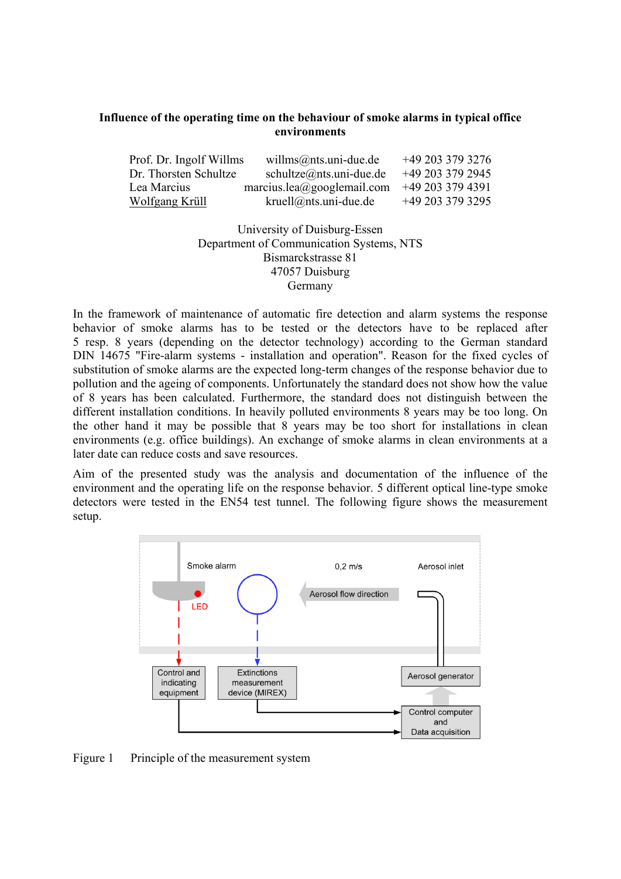## **Influence of the operating time on the behaviour of smoke alarms in typical office environments**

| Prof. Dr. Ingolf Willms | willms@nts.uni-due.de            | +49 203 379 3276   |
|-------------------------|----------------------------------|--------------------|
| Dr. Thorsten Schultze   | $schultze(\omega$ nts.uni-due.de | +49 203 379 2945   |
| Lea Marcius             | marcius.lea@googlemail.com       | $+49$ 203 379 4391 |
| Wolfgang Krüll          | $kruell@nts.$ uni-due.de         | +49 203 379 3295   |

## University of Duisburg-Essen Department of Communication Systems, NTS Bismarckstrasse 81 47057 Duisburg Germany

In the framework of maintenance of automatic fire detection and alarm systems the response behavior of smoke alarms has to be tested or the detectors have to be replaced after 5 resp. 8 years (depending on the detector technology) according to the German standard DIN 14675 "Fire-alarm systems - installation and operation". Reason for the fixed cycles of substitution of smoke alarms are the expected long-term changes of the response behavior due to pollution and the ageing of components. Unfortunately the standard does not show how the value of 8 years has been calculated. Furthermore, the standard does not distinguish between the different installation conditions. In heavily polluted environments 8 years may be too long. On the other hand it may be possible that 8 years may be too short for installations in clean environments (e.g. office buildings). An exchange of smoke alarms in clean environments at a later date can reduce costs and save resources.

Aim of the presented study was the analysis and documentation of the influence of the environment and the operating life on the response behavior. 5 different optical line-type smoke detectors were tested in the EN54 test tunnel. The following figure shows the measurement setup.



Figure 1 Principle of the measurement system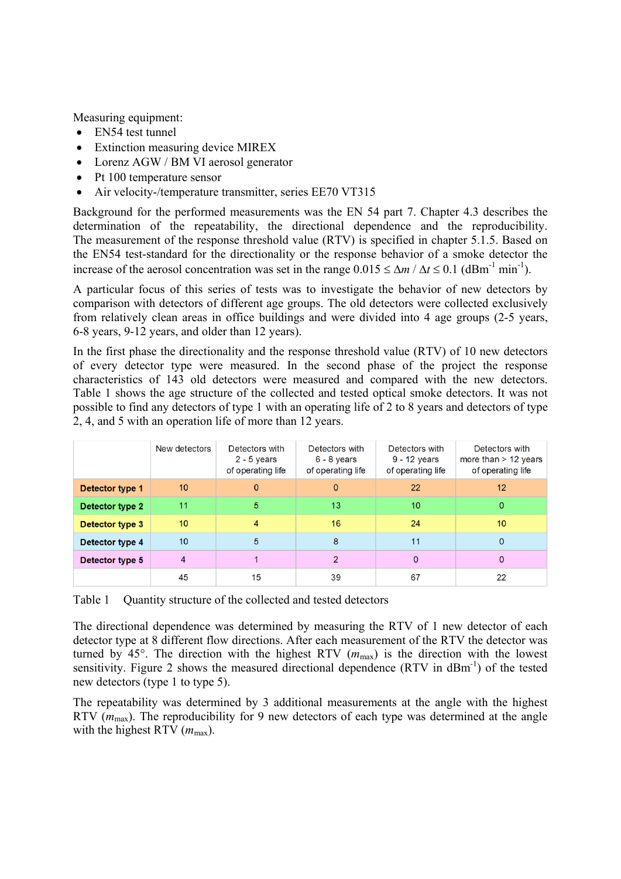Measuring equipment:

- EN54 test tunnel
- Extinction measuring device MIREX
- Lorenz AGW / BM VI aerosol generator
- Pt 100 temperature sensor
- Air velocity-/temperature transmitter, series EE70 VT315

Background for the performed measurements was the EN 54 part 7. Chapter 4.3 describes the determination of the repeatability, the directional dependence and the reproducibility. The measurement of the response threshold value (RTV) is specified in chapter 5.1.5. Based on the EN54 test-standard for the directionality or the response behavior of a smoke detector the increase of the aerosol concentration was set in the range  $0.015 \leq \Delta m / \Delta t \leq 0.1$  (dBm<sup>-1</sup> min<sup>-1</sup>).

A particular focus of this series of tests was to investigate the behavior of new detectors by comparison with detectors of different age groups. The old detectors were collected exclusively from relatively clean areas in office buildings and were divided into 4 age groups (2-5 years, 6-8 years, 9-12 years, and older than 12 years).

In the first phase the directionality and the response threshold value (RTV) of 10 new detectors of every detector type were measured. In the second phase of the project the response characteristics of 143 old detectors were measured and compared with the new detectors. Table 1 shows the age structure of the collected and tested optical smoke detectors. It was not possible to find any detectors of type 1 with an operating life of 2 to 8 years and detectors of type 2, 4, and 5 with an operation life of more than 12 years.

|                 | New detectors   | Detectors with<br>$2 - 5$ years<br>of operating life | Detectors with<br>6 - 8 years<br>of operating life | Detectors with<br>9 - 12 years<br>of operating life | Detectors with<br>more than $> 12$ years<br>of operating life |
|-----------------|-----------------|------------------------------------------------------|----------------------------------------------------|-----------------------------------------------------|---------------------------------------------------------------|
| Detector type 1 | 10 <sup>1</sup> | $\mathbf{0}$                                         | $\Omega$                                           | 22                                                  | 12                                                            |
| Detector type 2 | 11              | 5                                                    | 13                                                 | 10                                                  | $\mathbf{0}$                                                  |
| Detector type 3 | 10 <sup>°</sup> | 4                                                    | 16                                                 | 24                                                  | 10 <sup>°</sup>                                               |
| Detector type 4 | 10              | 5                                                    | 8                                                  | 11                                                  | $\Omega$                                                      |
| Detector type 5 | 4               |                                                      | C                                                  | 0                                                   | $\mathbf{0}$                                                  |
|                 | 45              | 15                                                   | 39                                                 | 67                                                  | 22                                                            |

Table 1 Ouantity structure of the collected and tested detectors

The directional dependence was determined by measuring the RTV of 1 new detector of each detector type at 8 different flow directions. After each measurement of the RTV the detector was turned by 45°. The direction with the highest RTV  $(m_{\text{max}})$  is the direction with the lowest sensitivity. Figure 2 shows the measured directional dependence  $(RTV$  in  $dBm^{-1}$ ) of the tested new detectors (type 1 to type 5).

The repeatability was determined by 3 additional measurements at the angle with the highest RTV ( $m_{\text{max}}$ ). The reproducibility for 9 new detectors of each type was determined at the angle with the highest RTV  $(m_{\text{max}})$ .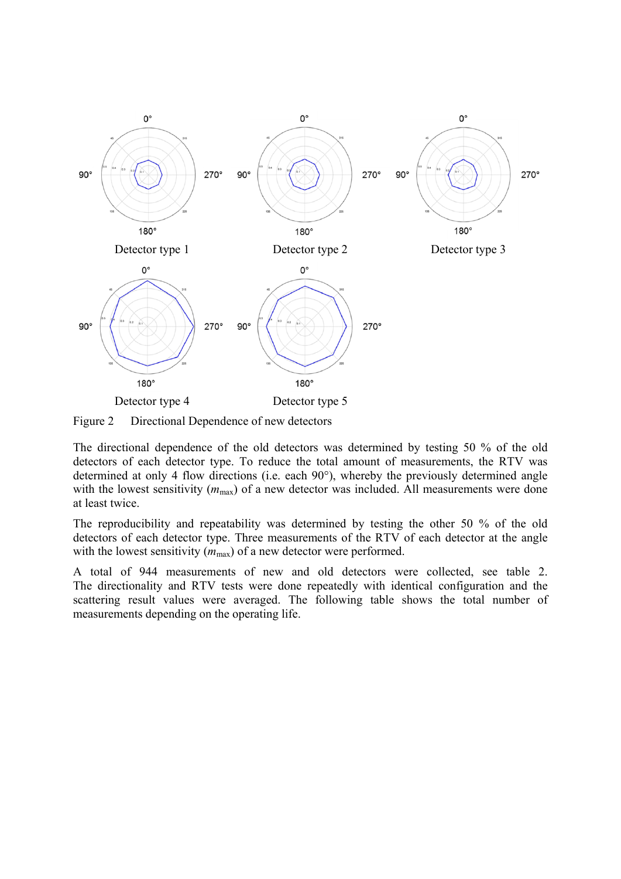

Figure 2 Directional Dependence of new detectors

The directional dependence of the old detectors was determined by testing 50 % of the old detectors of each detector type. To reduce the total amount of measurements, the RTV was determined at only 4 flow directions (i.e. each 90°), whereby the previously determined angle with the lowest sensitivity  $(m_{\text{max}})$  of a new detector was included. All measurements were done at least twice.

The reproducibility and repeatability was determined by testing the other 50 % of the old detectors of each detector type. Three measurements of the RTV of each detector at the angle with the lowest sensitivity  $(m_{\text{max}})$  of a new detector were performed.

A total of 944 measurements of new and old detectors were collected, see table 2. The directionality and RTV tests were done repeatedly with identical configuration and the scattering result values were averaged. The following table shows the total number of measurements depending on the operating life.